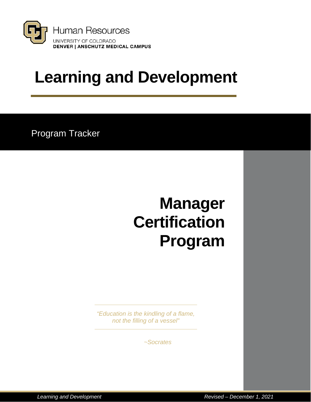

# **Learning and Development**

Program Tracker

# **Manager Certification Program**

*"Education is the kindling of a flame, not the filling of a vessel"*

*~Socrates*

*Learning and Development Revised – December 1, 2021*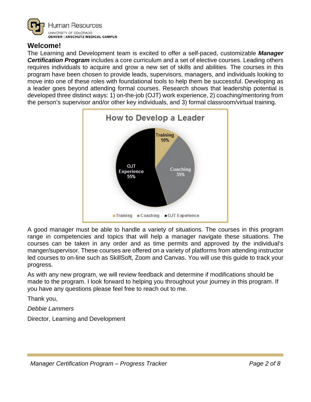

### **Welcome!**

The Learning and Development team is excited to offer a self-paced, customizable *Manager Certification Program* includes a core curriculum and a set of elective courses. Leading others requires individuals to acquire and grow a new set of skills and abilities. The courses in this program have been chosen to provide leads, supervisors, managers, and individuals looking to move into one of these roles with foundational tools to help them be successful. Developing as a leader goes beyond attending formal courses. Research shows that leadership potential is developed three distinct ways: 1) on-the-job (OJT) work experience, 2) coaching/mentoring from the person's supervisor and/or other key individuals, and 3) formal classroom/virtual training.



A good manager must be able to handle a variety of situations. The courses in this program range in competencies and topics that will help a manager navigate these situations. The courses can be taken in any order and as time permits and approved by the individual's manger/supervisor. These courses are offered on a variety of platforms from attending instructor led courses to on-line such as SkillSoft, Zoom and Canvas. You will use this guide to track your progress.

As with any new program, we will review feedback and determine if modifications should be made to the program. I look forward to helping you throughout your journey in this program. If you have any questions please feel free to reach out to me.

Thank you,

*Debbie Lammers*

Director, Learning and Development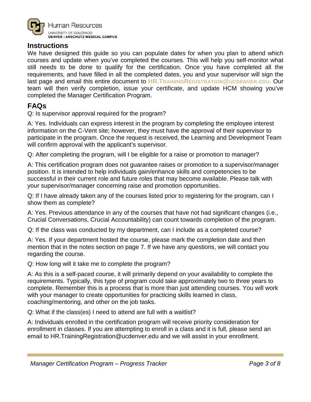

#### **Instructions**

We have designed this guide so you can populate dates for when you plan to attend which courses and update when you've completed the courses. This will help you self-monitor what still needs to be done to qualify for the certification. Once you have completed all the requirements, and have filled in all the completed dates, you and your supervisor will sign the last page and email this entire document to **[HR.TRAININGREGISTRATION@UCDENVER.EDU.](mailto:HR.TrainingRegistration@ucdenver.edu)** Our team will then verify completion, issue your certificate, and update HCM showing you've completed the Manager Certification Program.

# **FAQs**

Q: Is supervisor approval required for the program?

A: Yes. Individuals can express interest in the program by completing the employee interest information on the C-Vent site; however, they must have the approval of their supervisor to participate in the program. Once the request is received, the Learning and Development Team will confirm approval with the applicant's supervisor.

Q: After completing the program, will I be eligible for a raise or promotion to manager?

A: This certification program does not guarantee raises or promotion to a supervisor/manager position. It is intended to help individuals gain/enhance skills and competencies to be successful in their current role and future roles that may become available. Please talk with your supervisor/manager concerning raise and promotion opportunities.

Q: If I have already taken any of the courses listed prior to registering for the program, can I show them as complete?

A: Yes. Previous attendance in any of the courses that have not had significant changes (i.e., Crucial Conversations, Crucial Accountability) can count towards completion of the program.

Q: If the class was conducted by my department, can I include as a completed course?

A: Yes. If your department hosted the course, please mark the completion date and then mention that in the notes section on page 7. If we have any questions, we will contact you regarding the course.

Q: How long will it take me to complete the program?

A: As this is a self-paced course, it will primarily depend on your availability to complete the requirements. Typically, this type of program could take approximately two to three years to complete. Remember this is a process that is more than just attending courses. You will work with your manager to create opportunities for practicing skills learned in class, coaching/mentoring, and other on the job tasks.

Q: What if the class(es) I need to attend are full with a waitlist?

A: Individuals enrolled in the certification program will receive priority consideration for enrollment in classes. If you are attempting to enroll in a class and it is full, please send an email to HR.TrainingRegistration@ucdenver.edu and we will assist in your enrollment.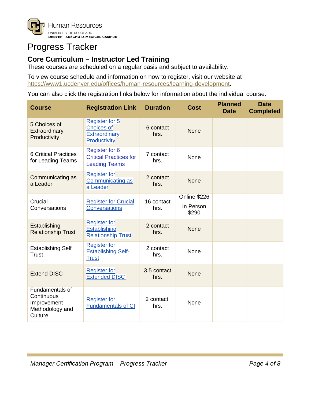

# Progress Tracker

# **Core Curriculum – Instructor Led Training**

These courses are scheduled on a regular basis and subject to availability.

To view course schedule and information on how to register, visit our website at [https://www1.ucdenver.edu/offices/human-resources/learning-development.](https://www1.ucdenver.edu/offices/human-resources/learning-development)

You can also click the registration links below for information about the individual course.

| <b>Course</b>                                                              | <b>Registration Link</b>                                                       | <b>Duration</b>     | <b>Cost</b>                        | <b>Planned</b><br><b>Date</b> | <b>Date</b><br><b>Completed</b> |
|----------------------------------------------------------------------------|--------------------------------------------------------------------------------|---------------------|------------------------------------|-------------------------------|---------------------------------|
| 5 Choices of<br>Extraordinary<br>Productivity                              | Register for 5<br><b>Choices of</b><br>Extraordinary<br>Productivity           | 6 contact<br>hrs.   | <b>None</b>                        |                               |                                 |
| <b>6 Critical Practices</b><br>for Leading Teams                           | <b>Register for 6</b><br><b>Critical Practices for</b><br><b>Leading Teams</b> | 7 contact<br>hrs.   | None                               |                               |                                 |
| Communicating as<br>a Leader                                               | <b>Register for</b><br>Communicating as<br>a Leader                            | 2 contact<br>hrs.   | <b>None</b>                        |                               |                                 |
| Crucial<br>Conversations                                                   | <b>Register for Crucial</b><br><b>Conversations</b>                            | 16 contact<br>hrs.  | Online \$226<br>In Person<br>\$290 |                               |                                 |
| Establishing<br><b>Relationship Trust</b>                                  | <b>Register for</b><br>Establishing<br><b>Relationship Trust</b>               | 2 contact<br>hrs.   | <b>None</b>                        |                               |                                 |
| <b>Establishing Self</b><br><b>Trust</b>                                   | <b>Register for</b><br><b>Establishing Self-</b><br><b>Trust</b>               | 2 contact<br>hrs.   | None                               |                               |                                 |
| <b>Extend DISC</b>                                                         | <b>Register for</b><br><b>Extended DISC</b>                                    | 3.5 contact<br>hrs. | <b>None</b>                        |                               |                                 |
| Fundamentals of<br>Continuous<br>Improvement<br>Methodology and<br>Culture | <b>Register for</b><br><b>Fundamentals of CI</b>                               | 2 contact<br>hrs.   | None                               |                               |                                 |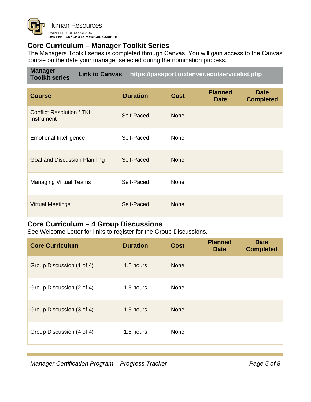

### **Core Curriculum – Manager Toolkit Series**

The Managers Toolkit series is completed through Canvas. You will gain access to the Canvas course on the date your manager selected during the nomination process.

**Manager Toolkit series Link to Canvas <https://passport.ucdenver.edu/servicelist.php>**

| <b>Course</b>                                  | <b>Duration</b> | <b>Cost</b> | <b>Planned</b><br><b>Date</b> | <b>Date</b><br><b>Completed</b> |
|------------------------------------------------|-----------------|-------------|-------------------------------|---------------------------------|
| <b>Conflict Resolution / TKI</b><br>Instrument | Self-Paced      | <b>None</b> |                               |                                 |
| <b>Emotional Intelligence</b>                  | Self-Paced      | None        |                               |                                 |
| <b>Goal and Discussion Planning</b>            | Self-Paced      | <b>None</b> |                               |                                 |
| <b>Managing Virtual Teams</b>                  | Self-Paced      | None        |                               |                                 |
| <b>Virtual Meetings</b>                        | Self-Paced      | <b>None</b> |                               |                                 |

## **Core Curriculum – 4 Group Discussions**

See Welcome Letter for links to register for the Group Discussions.

| <b>Core Curriculum</b>    | <b>Duration</b> | <b>Cost</b> | <b>Planned</b><br><b>Date</b> | <b>Date</b><br><b>Completed</b> |
|---------------------------|-----------------|-------------|-------------------------------|---------------------------------|
| Group Discussion (1 of 4) | 1.5 hours       | <b>None</b> |                               |                                 |
| Group Discussion (2 of 4) | 1.5 hours       | None        |                               |                                 |
| Group Discussion (3 of 4) | 1.5 hours       | <b>None</b> |                               |                                 |
| Group Discussion (4 of 4) | 1.5 hours       | None        |                               |                                 |

*Manager Certification Program – Progress Tracker Page 5 of 8*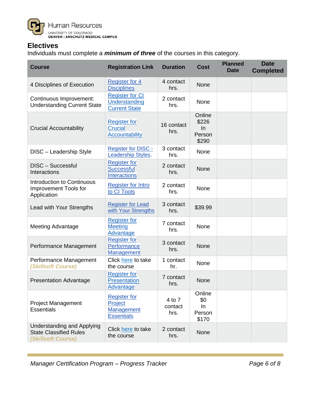

### **Electives**

Individuals must complete a *minimum of three* of the courses in this category.

| <b>Course</b>                                                                            | <b>Registration Link</b>                                          | <b>Duration</b>           | <b>Cost</b>                              | <b>Planned</b><br><b>Date</b> | <b>Date</b><br><b>Completed</b> |
|------------------------------------------------------------------------------------------|-------------------------------------------------------------------|---------------------------|------------------------------------------|-------------------------------|---------------------------------|
| 4 Disciplines of Execution                                                               | <b>Register for 4</b><br><b>Disciplines</b>                       | 4 contact<br>hrs.         | None                                     |                               |                                 |
| Continuous Improvement:<br><b>Understanding Current State</b>                            | <b>Register for CI</b><br>Understanding<br><b>Current State</b>   | 2 contact<br>hrs.         | None                                     |                               |                                 |
| <b>Crucial Accountability</b>                                                            | <b>Register for</b><br><b>Crucial</b><br><b>Accountability</b>    | 16 contact<br>hrs.        | Online<br>\$226<br>In<br>Person<br>\$290 |                               |                                 |
| DISC - Leadership Style                                                                  | <b>Register for DISC -</b><br><b>Leadership Styles.</b>           | 3 contact<br>hrs.         | None                                     |                               |                                 |
| DISC - Successful<br>Interactions                                                        | <b>Register for</b><br><b>Successful</b><br><b>Interactions</b>   | 2 contact<br>hrs.         | None                                     |                               |                                 |
| Introduction to Continuous<br><b>Improvement Tools for</b><br>Application                | <b>Register for Intro</b><br>to CI Tools                          | 2 contact<br>hrs.         | None                                     |                               |                                 |
| Lead with Your Strengths                                                                 | <b>Register for Lead</b><br>with Your Strengths                   | 3 contact<br>hrs.         | \$39.99                                  |                               |                                 |
| Meeting Advantage                                                                        | <b>Register for</b><br><b>Meeting</b><br>Advantage                | 7 contact<br>hrs.         | None                                     |                               |                                 |
| Performance Management                                                                   | <b>Register for</b><br>Performance<br>Management                  | 3 contact<br>hrs.         | None                                     |                               |                                 |
| Performance Management<br>(Skillsoft Course)                                             | Click here to take<br>the course                                  | 1 contact<br>hr.          | None                                     |                               |                                 |
| <b>Presentation Advantage</b>                                                            | <b>Register for</b><br>Presentation<br><b>Advantage</b>           | 7 contact<br>hrs.         | None                                     |                               |                                 |
| <b>Project Management</b><br><b>Essentials</b>                                           | <b>Register for</b><br>Project<br>Management<br><b>Essentials</b> | 4 to 7<br>contact<br>hrs. | Online<br>\$0<br>In<br>Person<br>\$170   |                               |                                 |
| <b>Understanding and Applying</b><br><b>State Classified Rules</b><br>(Skillsoft Course) | Click here to take<br>the course                                  | 2 contact<br>hrs.         | None                                     |                               |                                 |

*Manager Certification Program – Progress Tracker Page 6 of 8*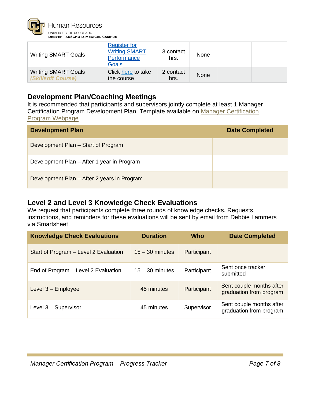

| <b>Writing SMART Goals</b>                       | <b>Register for</b><br><b>Writing SMART</b><br>Performance<br><b>Goals</b> | 3 contact<br>hrs. | None |  |
|--------------------------------------------------|----------------------------------------------------------------------------|-------------------|------|--|
| <b>Writing SMART Goals</b><br>(Skillsoft Course) | Click here to take<br>the course                                           | 2 contact<br>hrs. | None |  |

### **Development Plan/Coaching Meetings**

It is recommended that participants and supervisors jointly complete at least 1 Manager Certification Program Development Plan. Template available on [Manager Certification](https://www1.ucdenver.edu/offices/human-resources/learning-development/manager-development-resources)  [Program Webpage](https://www1.ucdenver.edu/offices/human-resources/learning-development/manager-development-resources)

| <b>Development Plan</b>                     | <b>Date Completed</b> |
|---------------------------------------------|-----------------------|
| Development Plan – Start of Program         |                       |
| Development Plan - After 1 year in Program  |                       |
| Development Plan - After 2 years in Program |                       |

#### **Level 2 and Level 3 Knowledge Check Evaluations**

We request that participants complete three rounds of knowledge checks. Requests, instructions, and reminders for these evaluations will be sent by email from Debbie Lammers via Smartsheet.

| <b>Knowledge Check Evaluations</b>    | <b>Duration</b>   | Who         | <b>Date Completed</b>                               |
|---------------------------------------|-------------------|-------------|-----------------------------------------------------|
| Start of Program - Level 2 Evaluation | $15 - 30$ minutes | Participant |                                                     |
| End of Program - Level 2 Evaluation   | $15 - 30$ minutes | Participant | Sent once tracker<br>submitted                      |
| Level 3 - Employee                    | 45 minutes        | Participant | Sent couple months after<br>graduation from program |
| Level 3 - Supervisor                  | 45 minutes        | Supervisor  | Sent couple months after<br>graduation from program |